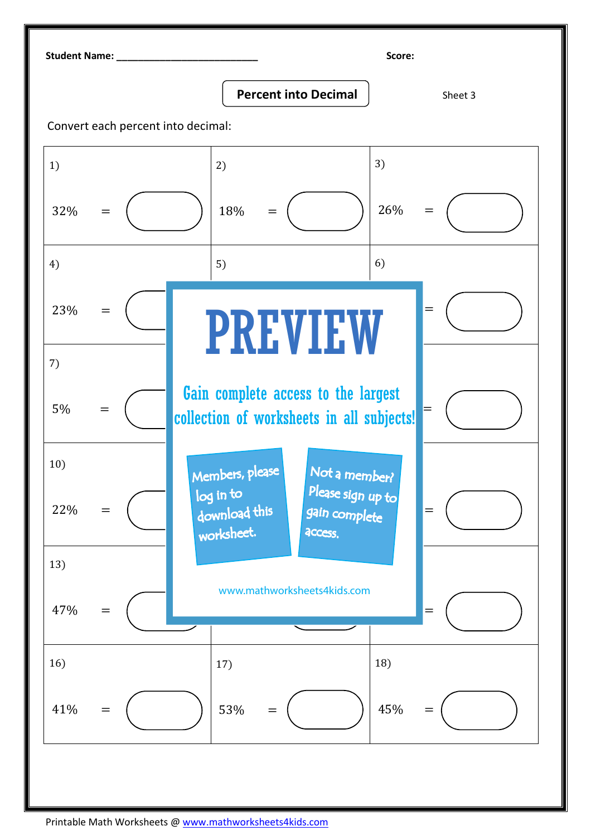Student Name: \_\_\_\_\_\_\_\_\_\_\_\_\_\_\_\_\_\_\_\_\_\_\_\_\_\_ Score:

**Percent into Decimal**  $\vert$  Sheet 3

Convert each percent into decimal: